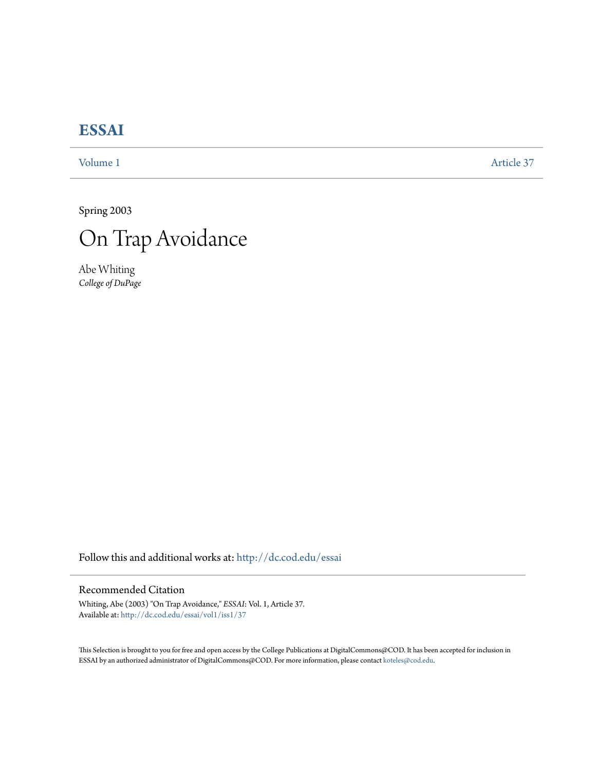## **[ESSAI](http://dc.cod.edu/essai?utm_source=dc.cod.edu%2Fessai%2Fvol1%2Fiss1%2F37&utm_medium=PDF&utm_campaign=PDFCoverPages)**

[Volume 1](http://dc.cod.edu/essai/vol1?utm_source=dc.cod.edu%2Fessai%2Fvol1%2Fiss1%2F37&utm_medium=PDF&utm_campaign=PDFCoverPages) [Article 37](http://dc.cod.edu/essai/vol1/iss1/37?utm_source=dc.cod.edu%2Fessai%2Fvol1%2Fiss1%2F37&utm_medium=PDF&utm_campaign=PDFCoverPages)

Spring 2003



Abe Whiting *College of DuPage*

Follow this and additional works at: [http://dc.cod.edu/essai](http://dc.cod.edu/essai?utm_source=dc.cod.edu%2Fessai%2Fvol1%2Fiss1%2F37&utm_medium=PDF&utm_campaign=PDFCoverPages)

## Recommended Citation

Whiting, Abe (2003) "On Trap Avoidance," *ESSAI*: Vol. 1, Article 37. Available at: [http://dc.cod.edu/essai/vol1/iss1/37](http://dc.cod.edu/essai/vol1/iss1/37?utm_source=dc.cod.edu%2Fessai%2Fvol1%2Fiss1%2F37&utm_medium=PDF&utm_campaign=PDFCoverPages)

This Selection is brought to you for free and open access by the College Publications at DigitalCommons@COD. It has been accepted for inclusion in ESSAI by an authorized administrator of DigitalCommons@COD. For more information, please contact [koteles@cod.edu](mailto:koteles@cod.edu).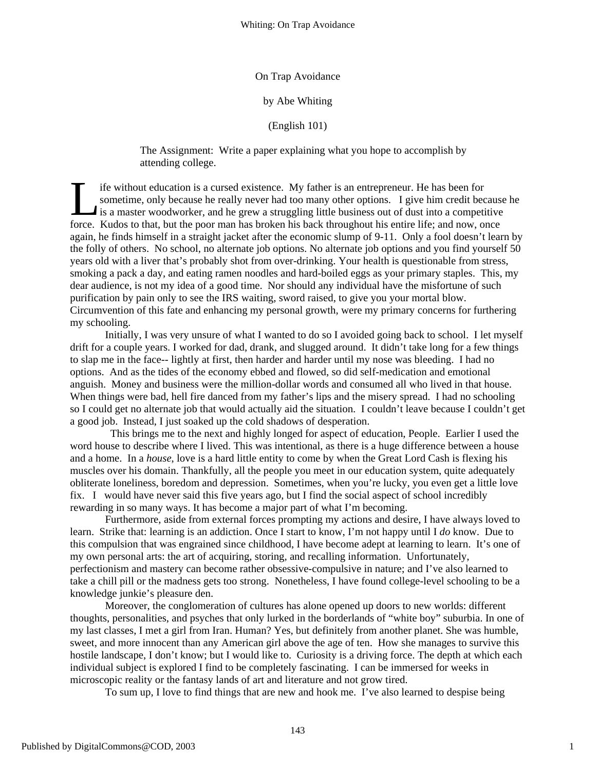## On Trap Avoidance

## by Abe Whiting

(English 101)

The Assignment: Write a paper explaining what you hope to accomplish by attending college.

ife without education is a cursed existence. My father is an entrepreneur. He has been for sometime, only because he really never had too many other options. I give him credit because he is a master woodworker, and he grew a struggling little business out of dust into a competitive If e without education is a cursed existence. My father is an entrepreneur. He has been for sometime, only because he really never had too many other options. I give him credit because is a master woodworker, and he grew a again, he finds himself in a straight jacket after the economic slump of 9-11. Only a fool doesn't learn by the folly of others. No school, no alternate job options. No alternate job options and you find yourself 50 years old with a liver that's probably shot from over-drinking. Your health is questionable from stress, smoking a pack a day, and eating ramen noodles and hard-boiled eggs as your primary staples. This, my dear audience, is not my idea of a good time. Nor should any individual have the misfortune of such purification by pain only to see the IRS waiting, sword raised, to give you your mortal blow. Circumvention of this fate and enhancing my personal growth, were my primary concerns for furthering my schooling.

Initially, I was very unsure of what I wanted to do so I avoided going back to school. I let myself drift for a couple years. I worked for dad, drank, and slugged around. It didn't take long for a few things to slap me in the face-- lightly at first, then harder and harder until my nose was bleeding. I had no options. And as the tides of the economy ebbed and flowed, so did self-medication and emotional anguish. Money and business were the million-dollar words and consumed all who lived in that house. When things were bad, hell fire danced from my father's lips and the misery spread. I had no schooling so I could get no alternate job that would actually aid the situation. I couldn't leave because I couldn't get a good job. Instead, I just soaked up the cold shadows of desperation.

 This brings me to the next and highly longed for aspect of education, People. Earlier I used the word house to describe where I lived. This was intentional, as there is a huge difference between a house and a home. In a *house*, love is a hard little entity to come by when the Great Lord Cash is flexing his muscles over his domain. Thankfully, all the people you meet in our education system, quite adequately obliterate loneliness, boredom and depression. Sometimes, when you're lucky, you even get a little love fix. I would have never said this five years ago, but I find the social aspect of school incredibly rewarding in so many ways. It has become a major part of what I'm becoming.

Furthermore, aside from external forces prompting my actions and desire, I have always loved to learn. Strike that: learning is an addiction. Once I start to know, I'm not happy until I *do* know. Due to this compulsion that was engrained since childhood, I have become adept at learning to learn. It's one of my own personal arts: the art of acquiring, storing, and recalling information. Unfortunately, perfectionism and mastery can become rather obsessive-compulsive in nature; and I've also learned to take a chill pill or the madness gets too strong. Nonetheless, I have found college-level schooling to be a knowledge junkie's pleasure den.

Moreover, the conglomeration of cultures has alone opened up doors to new worlds: different thoughts, personalities, and psyches that only lurked in the borderlands of "white boy" suburbia. In one of my last classes, I met a girl from Iran. Human? Yes, but definitely from another planet. She was humble, sweet, and more innocent than any American girl above the age of ten. How she manages to survive this hostile landscape, I don't know; but I would like to. Curiosity is a driving force. The depth at which each individual subject is explored I find to be completely fascinating. I can be immersed for weeks in microscopic reality or the fantasy lands of art and literature and not grow tired.

To sum up, I love to find things that are new and hook me. I've also learned to despise being